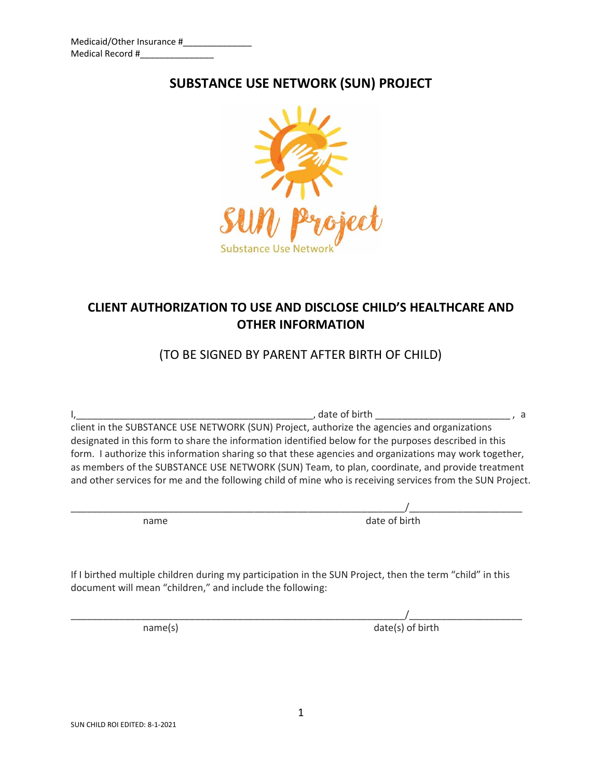# **SUBSTANCE USE NETWORK (SUN) PROJECT**



# **CLIENT AUTHORIZATION TO USE AND DISCLOSE CHILD'S HEALTHCARE AND OTHER INFORMATION**

## (TO BE SIGNED BY PARENT AFTER BIRTH OF CHILD)

I,\_\_\_\_\_\_\_\_\_\_\_\_\_\_\_\_\_\_\_\_\_\_\_\_\_\_\_\_\_\_\_\_\_\_\_\_\_\_\_\_\_\_\_\_, date of birth \_\_\_\_\_\_\_\_\_\_\_\_\_\_\_\_\_\_\_\_\_\_\_\_\_ , a client in the SUBSTANCE USE NETWORK (SUN) Project, authorize the agencies and organizations designated in this form to share the information identified below for the purposes described in this form. I authorize this information sharing so that these agencies and organizations may work together, as members of the SUBSTANCE USE NETWORK (SUN) Team, to plan, coordinate, and provide treatment and other services for me and the following child of mine who is receiving services from the SUN Project.

\_\_\_\_\_\_\_\_\_\_\_\_\_\_\_\_\_\_\_\_\_\_\_\_\_\_\_\_\_\_\_\_\_\_\_\_\_\_\_\_\_\_\_\_\_\_\_\_\_\_\_\_\_\_\_\_\_\_\_\_\_\_/\_\_\_\_\_\_\_\_\_\_\_\_\_\_\_\_\_\_\_\_\_ name date of birth

If I birthed multiple children during my participation in the SUN Project, then the term "child" in this document will mean "children," and include the following:

\_\_\_\_\_\_\_\_\_\_\_\_\_\_\_\_\_\_\_\_\_\_\_\_\_\_\_\_\_\_\_\_\_\_\_\_\_\_\_\_\_\_\_\_\_\_\_\_\_\_\_\_\_\_\_\_\_\_\_\_\_\_/\_\_\_\_\_\_\_\_\_\_\_\_\_\_\_\_\_\_\_\_\_ name(s) date(s) of birth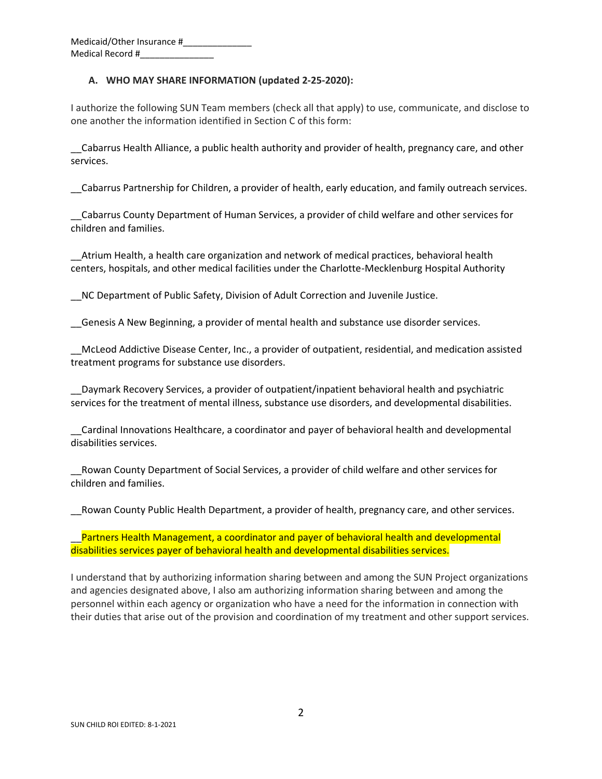Medicaid/Other Insurance #\_\_\_\_\_\_\_\_\_\_\_\_\_\_ Medical Record #\_\_\_\_\_\_\_\_\_\_\_\_\_\_\_

#### **A. WHO MAY SHARE INFORMATION (updated 2-25-2020):**

I authorize the following SUN Team members (check all that apply) to use, communicate, and disclose to one another the information identified in Section C of this form:

\_\_Cabarrus Health Alliance, a public health authority and provider of health, pregnancy care, and other services.

\_\_Cabarrus Partnership for Children, a provider of health, early education, and family outreach services.

\_\_Cabarrus County Department of Human Services, a provider of child welfare and other services for children and families.

\_\_Atrium Health, a health care organization and network of medical practices, behavioral health centers, hospitals, and other medical facilities under the Charlotte-Mecklenburg Hospital Authority

\_\_NC Department of Public Safety, Division of Adult Correction and Juvenile Justice.

\_\_Genesis A New Beginning, a provider of mental health and substance use disorder services.

\_\_McLeod Addictive Disease Center, Inc., a provider of outpatient, residential, and medication assisted treatment programs for substance use disorders.

\_\_Daymark Recovery Services, a provider of outpatient/inpatient behavioral health and psychiatric services for the treatment of mental illness, substance use disorders, and developmental disabilities.

\_\_Cardinal Innovations Healthcare, a coordinator and payer of behavioral health and developmental disabilities services.

\_\_Rowan County Department of Social Services, a provider of child welfare and other services for children and families.

\_\_Rowan County Public Health Department, a provider of health, pregnancy care, and other services.

Partners Health Management, a coordinator and payer of behavioral health and developmental disabilities services payer of behavioral health and developmental disabilities services.

I understand that by authorizing information sharing between and among the SUN Project organizations and agencies designated above, I also am authorizing information sharing between and among the personnel within each agency or organization who have a need for the information in connection with their duties that arise out of the provision and coordination of my treatment and other support services.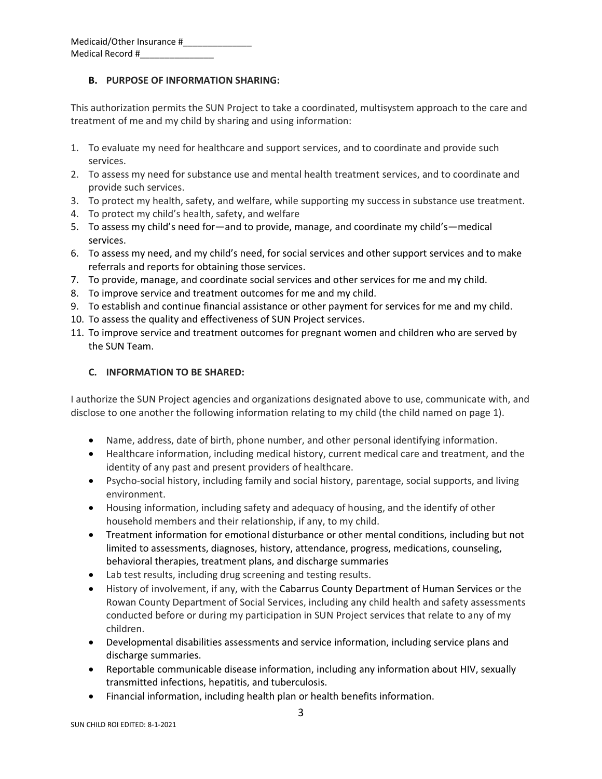### **B. PURPOSE OF INFORMATION SHARING:**

This authorization permits the SUN Project to take a coordinated, multisystem approach to the care and treatment of me and my child by sharing and using information:

- 1. To evaluate my need for healthcare and support services, and to coordinate and provide such services.
- 2. To assess my need for substance use and mental health treatment services, and to coordinate and provide such services.
- 3. To protect my health, safety, and welfare, while supporting my success in substance use treatment.
- 4. To protect my child's health, safety, and welfare
- 5. To assess my child's need for—and to provide, manage, and coordinate my child's—medical services.
- 6. To assess my need, and my child's need, for social services and other support services and to make referrals and reports for obtaining those services.
- 7. To provide, manage, and coordinate social services and other services for me and my child.
- 8. To improve service and treatment outcomes for me and my child.
- 9. To establish and continue financial assistance or other payment for services for me and my child.
- 10. To assess the quality and effectiveness of SUN Project services.
- 11. To improve service and treatment outcomes for pregnant women and children who are served by the SUN Team.

#### **C. INFORMATION TO BE SHARED:**

I authorize the SUN Project agencies and organizations designated above to use, communicate with, and disclose to one another the following information relating to my child (the child named on page 1).

- Name, address, date of birth, phone number, and other personal identifying information.
- Healthcare information, including medical history, current medical care and treatment, and the identity of any past and present providers of healthcare.
- Psycho-social history, including family and social history, parentage, social supports, and living environment.
- Housing information, including safety and adequacy of housing, and the identify of other household members and their relationship, if any, to my child.
- Treatment information for emotional disturbance or other mental conditions, including but not limited to assessments, diagnoses, history, attendance, progress, medications, counseling, behavioral therapies, treatment plans, and discharge summaries
- Lab test results, including drug screening and testing results.
- History of involvement, if any, with the Cabarrus County Department of Human Services or the Rowan County Department of Social Services, including any child health and safety assessments conducted before or during my participation in SUN Project services that relate to any of my children.
- Developmental disabilities assessments and service information, including service plans and discharge summaries.
- Reportable communicable disease information, including any information about HIV, sexually transmitted infections, hepatitis, and tuberculosis.
- Financial information, including health plan or health benefits information.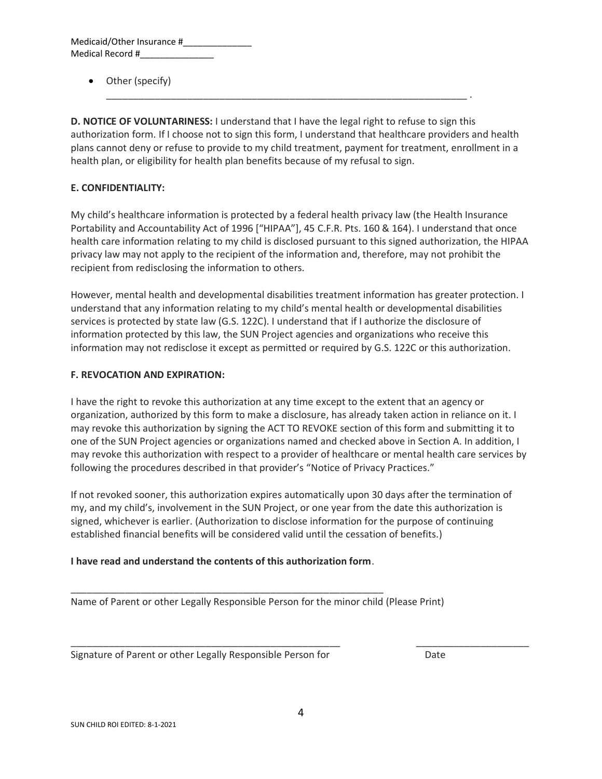| Medicaid/Other Insurance # |  |
|----------------------------|--|
| Medical Record #           |  |

• Other (specify)

**D. NOTICE OF VOLUNTARINESS:** I understand that I have the legal right to refuse to sign this authorization form. If I choose not to sign this form, I understand that healthcare providers and health plans cannot deny or refuse to provide to my child treatment, payment for treatment, enrollment in a health plan, or eligibility for health plan benefits because of my refusal to sign.

\_\_\_\_\_\_\_\_\_\_\_\_\_\_\_\_\_\_\_\_\_\_\_\_\_\_\_\_\_\_\_\_\_\_\_\_\_\_\_\_\_\_\_\_\_\_\_\_\_\_\_\_\_\_\_\_\_\_\_\_\_\_\_\_\_\_\_ .

### **E. CONFIDENTIALITY:**

My child's healthcare information is protected by a federal health privacy law (the Health Insurance Portability and Accountability Act of 1996 ["HIPAA"], 45 C.F.R. Pts. 160 & 164). I understand that once health care information relating to my child is disclosed pursuant to this signed authorization, the HIPAA privacy law may not apply to the recipient of the information and, therefore, may not prohibit the recipient from redisclosing the information to others.

However, mental health and developmental disabilities treatment information has greater protection. I understand that any information relating to my child's mental health or developmental disabilities services is protected by state law (G.S. 122C). I understand that if I authorize the disclosure of information protected by this law, the SUN Project agencies and organizations who receive this information may not redisclose it except as permitted or required by G.S. 122C or this authorization.

#### **F. REVOCATION AND EXPIRATION:**

I have the right to revoke this authorization at any time except to the extent that an agency or organization, authorized by this form to make a disclosure, has already taken action in reliance on it. I may revoke this authorization by signing the ACT TO REVOKE section of this form and submitting it to one of the SUN Project agencies or organizations named and checked above in Section A. In addition, I may revoke this authorization with respect to a provider of healthcare or mental health care services by following the procedures described in that provider's "Notice of Privacy Practices."

If not revoked sooner, this authorization expires automatically upon 30 days after the termination of my, and my child's, involvement in the SUN Project, or one year from the date this authorization is signed, whichever is earlier. (Authorization to disclose information for the purpose of continuing established financial benefits will be considered valid until the cessation of benefits.)

#### **I have read and understand the contents of this authorization form**.

\_\_\_\_\_\_\_\_\_\_\_\_\_\_\_\_\_\_\_\_\_\_\_\_\_\_\_\_\_\_\_\_\_\_\_\_\_\_\_\_\_\_\_\_\_\_\_\_\_\_\_\_\_\_\_\_\_\_

Name of Parent or other Legally Responsible Person for the minor child (Please Print)

Signature of Parent or other Legally Responsible Person for Date

\_\_\_\_\_\_\_\_\_\_\_\_\_\_\_\_\_\_\_\_\_\_\_\_\_\_\_\_\_\_\_\_\_\_\_\_\_\_\_\_\_\_\_\_\_\_\_\_\_\_ \_\_\_\_\_\_\_\_\_\_\_\_\_\_\_\_\_\_\_\_\_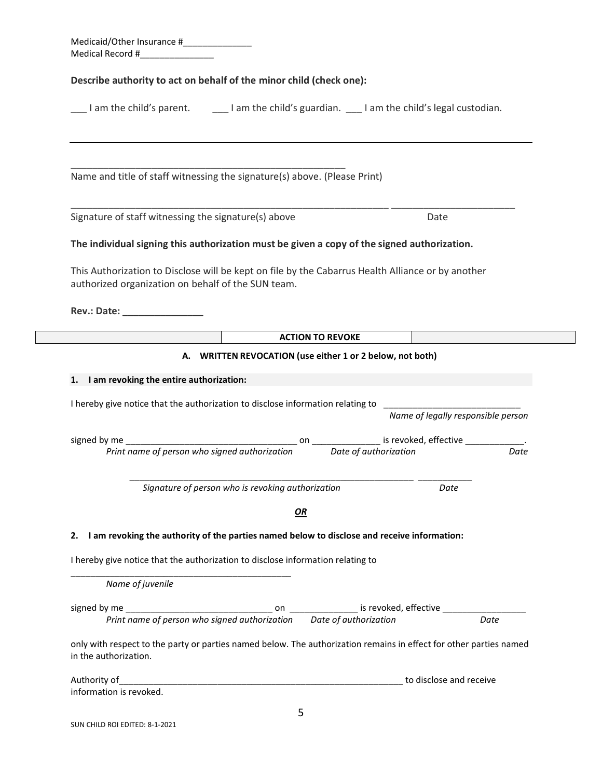| Describe authority to act on behalf of the minor child (check one):                                                                                                                                                                                                                                                                                                                                                                                               |                                                    |
|-------------------------------------------------------------------------------------------------------------------------------------------------------------------------------------------------------------------------------------------------------------------------------------------------------------------------------------------------------------------------------------------------------------------------------------------------------------------|----------------------------------------------------|
| I am the child's parent. I expain the child's guardian. I am the child's legal custodian.                                                                                                                                                                                                                                                                                                                                                                         |                                                    |
|                                                                                                                                                                                                                                                                                                                                                                                                                                                                   |                                                    |
|                                                                                                                                                                                                                                                                                                                                                                                                                                                                   |                                                    |
| Name and title of staff witnessing the signature(s) above. (Please Print)                                                                                                                                                                                                                                                                                                                                                                                         |                                                    |
|                                                                                                                                                                                                                                                                                                                                                                                                                                                                   |                                                    |
| Signature of staff witnessing the signature(s) above                                                                                                                                                                                                                                                                                                                                                                                                              | Date                                               |
| The individual signing this authorization must be given a copy of the signed authorization.                                                                                                                                                                                                                                                                                                                                                                       |                                                    |
|                                                                                                                                                                                                                                                                                                                                                                                                                                                                   |                                                    |
| This Authorization to Disclose will be kept on file by the Cabarrus Health Alliance or by another<br>authorized organization on behalf of the SUN team.                                                                                                                                                                                                                                                                                                           |                                                    |
| Rev.: Date: New York Products and Products and Products and Products and Products and Products and P                                                                                                                                                                                                                                                                                                                                                              |                                                    |
|                                                                                                                                                                                                                                                                                                                                                                                                                                                                   |                                                    |
|                                                                                                                                                                                                                                                                                                                                                                                                                                                                   |                                                    |
|                                                                                                                                                                                                                                                                                                                                                                                                                                                                   | <b>ACTION TO REVOKE</b>                            |
| A. WRITTEN REVOCATION (use either 1 or 2 below, not both)                                                                                                                                                                                                                                                                                                                                                                                                         |                                                    |
|                                                                                                                                                                                                                                                                                                                                                                                                                                                                   |                                                    |
|                                                                                                                                                                                                                                                                                                                                                                                                                                                                   |                                                    |
|                                                                                                                                                                                                                                                                                                                                                                                                                                                                   | Name of legally responsible person                 |
|                                                                                                                                                                                                                                                                                                                                                                                                                                                                   | on ________________ is revoked, effective ________ |
| Print name of person who signed authorization                                                                                                                                                                                                                                                                                                                                                                                                                     | Date of authorization<br>Date                      |
|                                                                                                                                                                                                                                                                                                                                                                                                                                                                   | Date                                               |
| Signature of person who is revoking authorization                                                                                                                                                                                                                                                                                                                                                                                                                 |                                                    |
| OR                                                                                                                                                                                                                                                                                                                                                                                                                                                                |                                                    |
|                                                                                                                                                                                                                                                                                                                                                                                                                                                                   |                                                    |
|                                                                                                                                                                                                                                                                                                                                                                                                                                                                   |                                                    |
| Name of juvenile                                                                                                                                                                                                                                                                                                                                                                                                                                                  |                                                    |
|                                                                                                                                                                                                                                                                                                                                                                                                                                                                   |                                                    |
|                                                                                                                                                                                                                                                                                                                                                                                                                                                                   |                                                    |
|                                                                                                                                                                                                                                                                                                                                                                                                                                                                   |                                                    |
| 1. I am revoking the entire authorization:<br>I hereby give notice that the authorization to disclose information relating to<br>2. I am revoking the authority of the parties named below to disclose and receive information:<br>I hereby give notice that the authorization to disclose information relating to<br>only with respect to the party or parties named below. The authorization remains in effect for other parties named<br>in the authorization. | to disclose and receive                            |